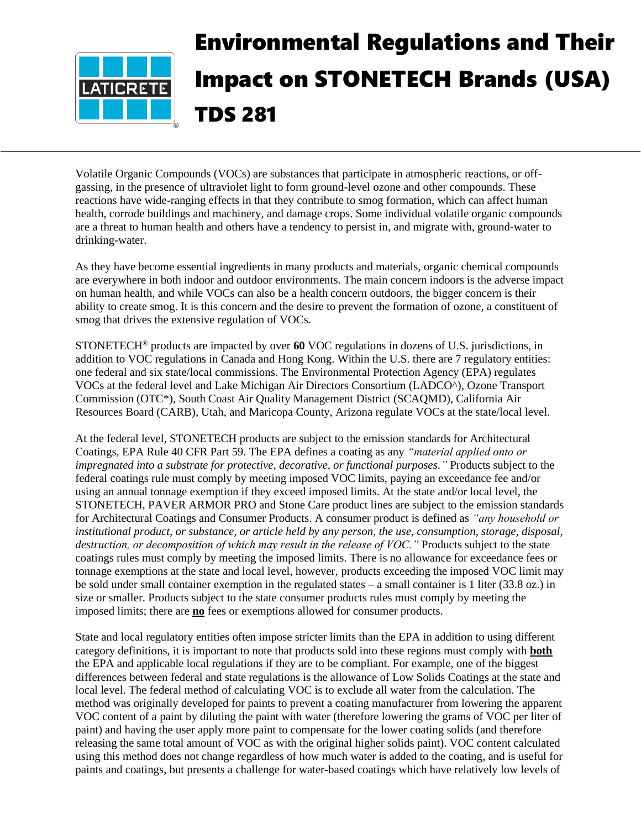

Volatile Organic Compounds (VOCs) are substances that participate in atmospheric reactions, or offgassing, in the presence of ultraviolet light to form ground-level ozone and other compounds. These reactions have wide-ranging effects in that they contribute to smog formation, which can affect human health, corrode buildings and machinery, and damage crops. Some individual volatile organic compounds are a threat to human health and others have a tendency to persist in, and migrate with, ground-water to drinking-water.

As they have become essential ingredients in many products and materials, organic chemical compounds are everywhere in both indoor and outdoor environments. The main concern indoors is the adverse impact on human health, and while VOCs can also be a health concern outdoors, the bigger concern is their ability to create smog. It is this concern and the desire to prevent the formation of ozone, a constituent of smog that drives the extensive regulation of VOCs.

STONETECH® products are impacted by over **60** VOC regulations in dozens of U.S. jurisdictions, in addition to VOC regulations in Canada and Hong Kong. Within the U.S. there are 7 regulatory entities: one federal and six state/local commissions. The Environmental Protection Agency (EPA) regulates VOCs at the federal level and Lake Michigan Air Directors Consortium (LADCO^), Ozone Transport Commission (OTC\*), South Coast Air Quality Management District (SCAQMD), California Air Resources Board (CARB), Utah, and Maricopa County, Arizona regulate VOCs at the state/local level.

At the federal level, STONETECH products are subject to the emission standards for Architectural Coatings, EPA Rule 40 CFR Part 59. The EPA defines a coating as any *"material applied onto or impregnated into a substrate for protective, decorative, or functional purposes."* Products subject to the federal coatings rule must comply by meeting imposed VOC limits, paying an exceedance fee and/or using an annual tonnage exemption if they exceed imposed limits. At the state and/or local level, the STONETECH, PAVER ARMOR PRO and Stone Care product lines are subject to the emission standards for Architectural Coatings and Consumer Products. A consumer product is defined as *"any household or institutional product, or substance, or article held by any person, the use, consumption, storage, disposal, destruction, or decomposition of which may result in the release of VOC."* Products subject to the state coatings rules must comply by meeting the imposed limits. There is no allowance for exceedance fees or tonnage exemptions at the state and local level, however, products exceeding the imposed VOC limit may be sold under small container exemption in the regulated states – a small container is 1 liter (33.8 oz.) in size or smaller. Products subject to the state consumer products rules must comply by meeting the imposed limits; there are **no** fees or exemptions allowed for consumer products.

State and local regulatory entities often impose stricter limits than the EPA in addition to using different category definitions, it is important to note that products sold into these regions must comply with **both** the EPA and applicable local regulations if they are to be compliant. For example, one of the biggest differences between federal and state regulations is the allowance of Low Solids Coatings at the state and local level. The federal method of calculating VOC is to exclude all water from the calculation. The method was originally developed for paints to prevent a coating manufacturer from lowering the apparent VOC content of a paint by diluting the paint with water (therefore lowering the grams of VOC per liter of paint) and having the user apply more paint to compensate for the lower coating solids (and therefore releasing the same total amount of VOC as with the original higher solids paint). VOC content calculated using this method does not change regardless of how much water is added to the coating, and is useful for paints and coatings, but presents a challenge for water-based coatings which have relatively low levels of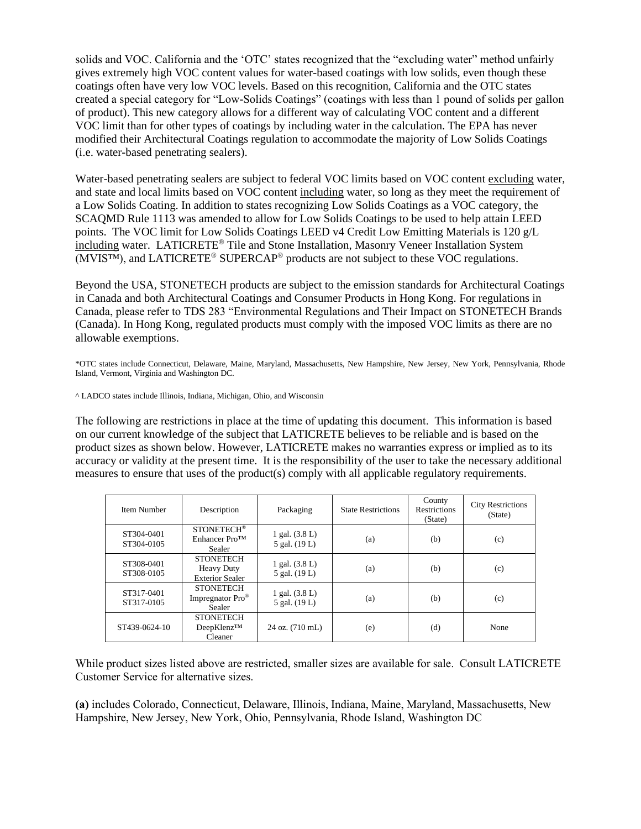solids and VOC. California and the 'OTC' states recognized that the "excluding water" method unfairly gives extremely high VOC content values for water-based coatings with low solids, even though these coatings often have very low VOC levels. Based on this recognition, California and the OTC states created a special category for "Low-Solids Coatings" (coatings with less than 1 pound of solids per gallon of product). This new category allows for a different way of calculating VOC content and a different VOC limit than for other types of coatings by including water in the calculation. The EPA has never modified their Architectural Coatings regulation to accommodate the majority of Low Solids Coatings (i.e. water-based penetrating sealers).

Water-based penetrating sealers are subject to federal VOC limits based on VOC content excluding water, and state and local limits based on VOC content including water, so long as they meet the requirement of a Low Solids Coating. In addition to states recognizing Low Solids Coatings as a VOC category, the SCAQMD Rule 1113 was amended to allow for Low Solids Coatings to be used to help attain LEED points. The VOC limit for Low Solids Coatings LEED v4 Credit Low Emitting Materials is 120 g/L including water. LATICRETE® Tile and Stone Installation, Masonry Veneer Installation System (MVIS™), and LATICRETE® SUPERCAP® products are not subject to these VOC regulations.

Beyond the USA, STONETECH products are subject to the emission standards for Architectural Coatings in Canada and both Architectural Coatings and Consumer Products in Hong Kong. For regulations in Canada, please refer to TDS 283 "Environmental Regulations and Their Impact on STONETECH Brands (Canada). In Hong Kong, regulated products must comply with the imposed VOC limits as there are no allowable exemptions.

\*OTC states include Connecticut, Delaware, Maine, Maryland, Massachusetts, New Hampshire, New Jersey, New York, Pennsylvania, Rhode Island, Vermont, Virginia and Washington DC.

^ LADCO states include Illinois, Indiana, Michigan, Ohio, and Wisconsin

The following are restrictions in place at the time of updating this document. This information is based on our current knowledge of the subject that LATICRETE believes to be reliable and is based on the product sizes as shown below. However, LATICRETE makes no warranties express or implied as to its accuracy or validity at the present time. It is the responsibility of the user to take the necessary additional measures to ensure that uses of the product(s) comply with all applicable regulatory requirements.

| Item Number              | Description                                                     | Packaging                         | <b>State Restrictions</b> | County<br><b>Restrictions</b><br>(State) | <b>City Restrictions</b><br>(State) |
|--------------------------|-----------------------------------------------------------------|-----------------------------------|---------------------------|------------------------------------------|-------------------------------------|
| ST304-0401<br>ST304-0105 | <b>STONETECH®</b><br>Enhancer Pro <sup>TM</sup><br>Sealer       | 1 gal. $(3.8 L)$<br>5 gal. (19 L) | (a)                       | (b)                                      | (c)                                 |
| ST308-0401<br>ST308-0105 | <b>STONETECH</b><br><b>Heavy Duty</b><br><b>Exterior Sealer</b> | 1 gal. $(3.8 L)$<br>5 gal. (19 L) | (a)                       | (b)                                      | (c)                                 |
| ST317-0401<br>ST317-0105 | <b>STONETECH</b><br>Impregnator Pro <sup>®</sup><br>Sealer      | 1 gal. $(3.8 L)$<br>5 gal. (19 L) | (a)                       | (b)                                      | (c)                                 |
| ST439-0624-10            | <b>STONETECH</b><br>DeepKlenz™<br>Cleaner                       | 24 oz. (710 mL)                   | (e)                       | (d)                                      | None                                |

While product sizes listed above are restricted, smaller sizes are available for sale. Consult LATICRETE Customer Service for alternative sizes.

**(a)** includes Colorado, Connecticut, Delaware, Illinois, Indiana, Maine, Maryland, Massachusetts, New Hampshire, New Jersey, New York, Ohio, Pennsylvania, Rhode Island, Washington DC